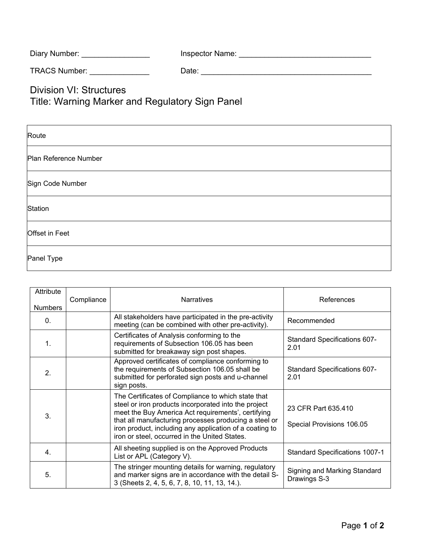| Diary Number: | <b>Inspector Name:</b> |
|---------------|------------------------|
|---------------|------------------------|

TRACS Number: \_\_\_\_\_\_\_\_\_\_\_\_\_\_ Date: \_\_\_\_\_\_\_\_\_\_\_\_\_\_\_\_\_\_\_\_\_\_\_\_\_\_\_\_\_\_\_\_\_\_\_\_\_\_\_\_

Division VI: Structures

Title: Warning Marker and Regulatory Sign Panel

| Route                 |
|-----------------------|
| Plan Reference Number |
| Sign Code Number      |
| Station               |
| Offset in Feet        |
| Panel Type            |

| Attribute<br><b>Numbers</b> | Compliance | <b>Narratives</b>                                                                                                                                                                                                                                                                                                                     | References                                       |
|-----------------------------|------------|---------------------------------------------------------------------------------------------------------------------------------------------------------------------------------------------------------------------------------------------------------------------------------------------------------------------------------------|--------------------------------------------------|
| 0.                          |            | All stakeholders have participated in the pre-activity<br>meeting (can be combined with other pre-activity).                                                                                                                                                                                                                          | Recommended                                      |
| 1.                          |            | Certificates of Analysis conforming to the<br>requirements of Subsection 106.05 has been<br>submitted for breakaway sign post shapes.                                                                                                                                                                                                 | Standard Specifications 607-<br>2.01             |
| $\overline{2}$ .            |            | Approved certificates of compliance conforming to<br>the requirements of Subsection 106.05 shall be<br>submitted for perforated sign posts and u-channel<br>sign posts.                                                                                                                                                               | <b>Standard Specifications 607-</b><br>2.01      |
| 3 <sub>1</sub>              |            | The Certificates of Compliance to which state that<br>steel or iron products incorporated into the project<br>meet the Buy America Act requirements', certifying<br>that all manufacturing processes producing a steel or<br>iron product, including any application of a coating to<br>iron or steel, occurred in the United States. | 23 CFR Part 635.410<br>Special Provisions 106.05 |
| 4.                          |            | All sheeting supplied is on the Approved Products<br>List or APL (Category V).                                                                                                                                                                                                                                                        | <b>Standard Specifications 1007-1</b>            |
| 5.                          |            | The stringer mounting details for warning, regulatory<br>and marker signs are in accordance with the detail S-<br>3 (Sheets 2, 4, 5, 6, 7, 8, 10, 11, 13, 14.).                                                                                                                                                                       | Signing and Marking Standard<br>Drawings S-3     |